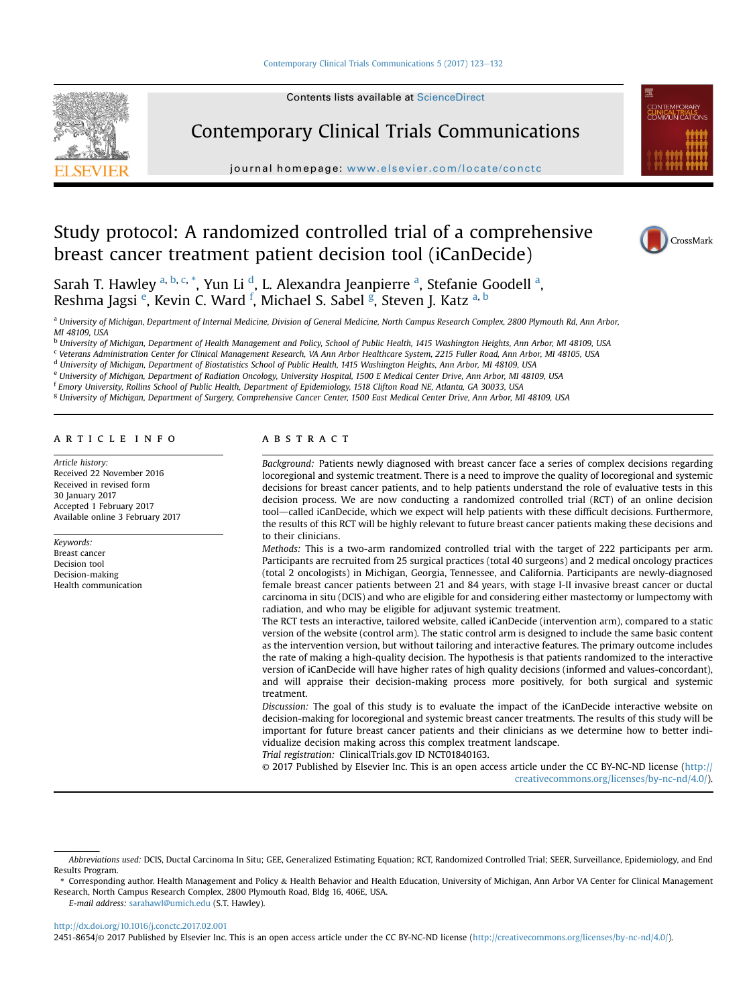#### [Contemporary Clinical Trials Communications 5 \(2017\) 123](http://dx.doi.org/10.1016/j.conctc.2017.02.001)-[132](http://dx.doi.org/10.1016/j.conctc.2017.02.001)





Contemporary Clinical Trials Communications

journal homepage: [www.elsevier.com/locate/conctc](http://www.elsevier.com/locate/conctc)



# Study protocol: A randomized controlled trial of a comprehensive breast cancer treatment patient decision tool (iCanDecide)



Sarah T. Hawley <sup>a, b, c,</sup> \*, Yun Li <sup>d</sup>, L. Alexandra Jeanpierre <sup>a</sup>, Stefanie Goodell <sup>a</sup>, Reshma Jagsi <sup>e</sup>, Kevin C. Ward <sup>f</sup>, Michael S. Sabel <sup>g</sup>, Steven J. Katz <sup>a, b</sup>

a University of Michigan, Department of Internal Medicine, Division of General Medicine, North Campus Research Complex, 2800 Plymouth Rd, Ann Arbor, MI 48109, USA

<sup>b</sup> University of Michigan, Department of Health Management and Policy, School of Public Health, 1415 Washington Heights, Ann Arbor, MI 48109, USA

<sup>c</sup> Veterans Administration Center for Clinical Management Research, VA Ann Arbor Healthcare System, 2215 Fuller Road, Ann Arbor, MI 48105, USA

<sup>d</sup> University of Michigan, Department of Biostatistics School of Public Health, 1415 Washington Heights, Ann Arbor, MI 48109, USA

<sup>e</sup> University of Michigan, Department of Radiation Oncology, University Hospital, 1500 E Medical Center Drive, Ann Arbor, MI 48109, USA

<sup>f</sup> Emory University, Rollins School of Public Health, Department of Epidemiology, 1518 Clifton Road NE, Atlanta, GA 30033, USA

<sup>g</sup> University of Michigan, Department of Surgery, Comprehensive Cancer Center, 1500 East Medical Center Drive, Ann Arbor, MI 48109, USA

## article info

Article history: Received 22 November 2016 Received in revised form 30 January 2017 Accepted 1 February 2017 Available online 3 February 2017

Keywords: Breast cancer Decision tool Decision-making Health communication

# **ABSTRACT**

Background: Patients newly diagnosed with breast cancer face a series of complex decisions regarding locoregional and systemic treatment. There is a need to improve the quality of locoregional and systemic decisions for breast cancer patients, and to help patients understand the role of evaluative tests in this decision process. We are now conducting a randomized controlled trial (RCT) of an online decision tool-called iCanDecide, which we expect will help patients with these difficult decisions. Furthermore, the results of this RCT will be highly relevant to future breast cancer patients making these decisions and to their clinicians.

Methods: This is a two-arm randomized controlled trial with the target of 222 participants per arm. Participants are recruited from 25 surgical practices (total 40 surgeons) and 2 medical oncology practices (total 2 oncologists) in Michigan, Georgia, Tennessee, and California. Participants are newly-diagnosed female breast cancer patients between 21 and 84 years, with stage I-II invasive breast cancer or ductal carcinoma in situ (DCIS) and who are eligible for and considering either mastectomy or lumpectomy with radiation, and who may be eligible for adjuvant systemic treatment.

The RCT tests an interactive, tailored website, called iCanDecide (intervention arm), compared to a static version of the website (control arm). The static control arm is designed to include the same basic content as the intervention version, but without tailoring and interactive features. The primary outcome includes the rate of making a high-quality decision. The hypothesis is that patients randomized to the interactive version of iCanDecide will have higher rates of high quality decisions (informed and values-concordant), and will appraise their decision-making process more positively, for both surgical and systemic treatment.

Discussion: The goal of this study is to evaluate the impact of the iCanDecide interactive website on decision-making for locoregional and systemic breast cancer treatments. The results of this study will be important for future breast cancer patients and their clinicians as we determine how to better individualize decision making across this complex treatment landscape.

Trial registration: ClinicalTrials.gov ID NCT01840163.

© 2017 Published by Elsevier Inc. This is an open access article under the CC BY-NC-ND license [\(http://](http://creativecommons.org/licenses/by-nc-nd/4.0/) [creativecommons.org/licenses/by-nc-nd/4.0/](http://creativecommons.org/licenses/by-nc-nd/4.0/)).

E-mail address: [sarahawl@umich.edu](mailto:sarahawl@umich.edu) (S.T. Hawley).

<http://dx.doi.org/10.1016/j.conctc.2017.02.001>

2451-8654/© 2017 Published by Elsevier Inc. This is an open access article under the CC BY-NC-ND license [\(http://creativecommons.org/licenses/by-nc-nd/4.0/](http://creativecommons.org/licenses/by-nc-nd/4.0/)).

Abbreviations used: DCIS, Ductal Carcinoma In Situ; GEE, Generalized Estimating Equation; RCT, Randomized Controlled Trial; SEER, Surveillance, Epidemiology, and End Results Program.

Corresponding author. Health Management and Policy & Health Behavior and Health Education, University of Michigan, Ann Arbor VA Center for Clinical Management Research, North Campus Research Complex, 2800 Plymouth Road, Bldg 16, 406E, USA.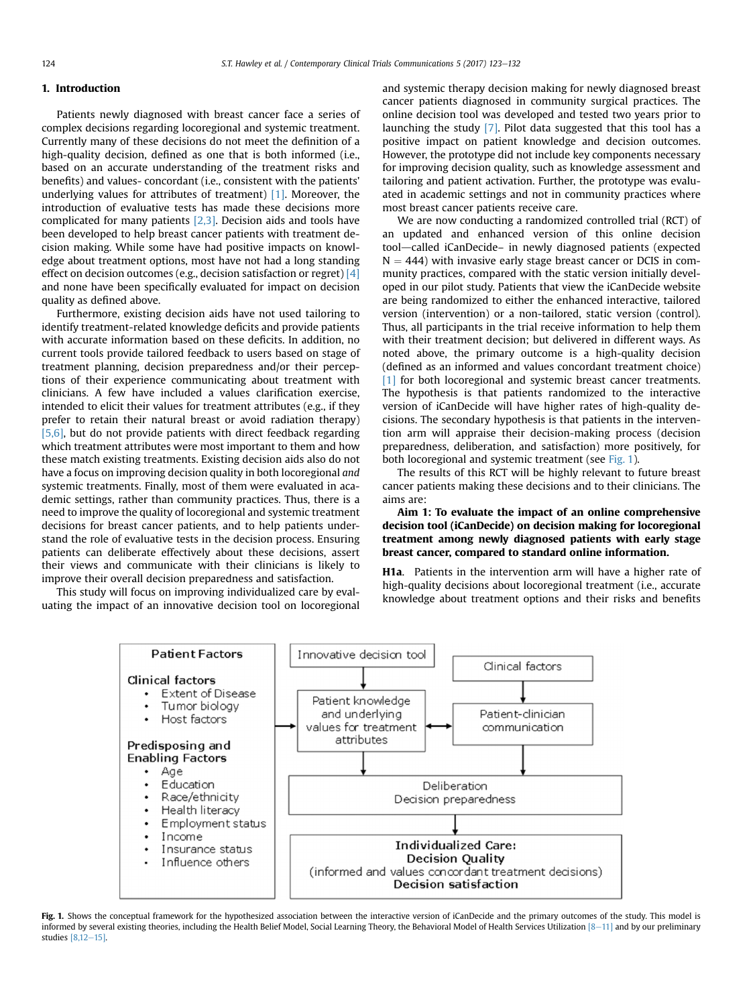# <span id="page-1-0"></span>1. Introduction

Patients newly diagnosed with breast cancer face a series of complex decisions regarding locoregional and systemic treatment. Currently many of these decisions do not meet the definition of a high-quality decision, defined as one that is both informed (i.e., based on an accurate understanding of the treatment risks and benefits) and values- concordant (i.e., consistent with the patients' underlying values for attributes of treatment) [\[1\].](#page-8-0) Moreover, the introduction of evaluative tests has made these decisions more complicated for many patients [\[2,3\]](#page-8-0). Decision aids and tools have been developed to help breast cancer patients with treatment decision making. While some have had positive impacts on knowledge about treatment options, most have not had a long standing effect on decision outcomes (e.g., decision satisfaction or regret) [\[4\]](#page-8-0) and none have been specifically evaluated for impact on decision quality as defined above.

Furthermore, existing decision aids have not used tailoring to identify treatment-related knowledge deficits and provide patients with accurate information based on these deficits. In addition, no current tools provide tailored feedback to users based on stage of treatment planning, decision preparedness and/or their perceptions of their experience communicating about treatment with clinicians. A few have included a values clarification exercise, intended to elicit their values for treatment attributes (e.g., if they prefer to retain their natural breast or avoid radiation therapy) [\[5,6\]](#page-8-0), but do not provide patients with direct feedback regarding which treatment attributes were most important to them and how these match existing treatments. Existing decision aids also do not have a focus on improving decision quality in both locoregional and systemic treatments. Finally, most of them were evaluated in academic settings, rather than community practices. Thus, there is a need to improve the quality of locoregional and systemic treatment decisions for breast cancer patients, and to help patients understand the role of evaluative tests in the decision process. Ensuring patients can deliberate effectively about these decisions, assert their views and communicate with their clinicians is likely to improve their overall decision preparedness and satisfaction.

This study will focus on improving individualized care by evaluating the impact of an innovative decision tool on locoregional and systemic therapy decision making for newly diagnosed breast cancer patients diagnosed in community surgical practices. The online decision tool was developed and tested two years prior to launching the study [\[7\].](#page-8-0) Pilot data suggested that this tool has a positive impact on patient knowledge and decision outcomes. However, the prototype did not include key components necessary for improving decision quality, such as knowledge assessment and tailoring and patient activation. Further, the prototype was evaluated in academic settings and not in community practices where most breast cancer patients receive care.

We are now conducting a randomized controlled trial (RCT) of an updated and enhanced version of this online decision tool-called iCanDecide- in newly diagnosed patients (expected  $N = 444$ ) with invasive early stage breast cancer or DCIS in community practices, compared with the static version initially developed in our pilot study. Patients that view the iCanDecide website are being randomized to either the enhanced interactive, tailored version (intervention) or a non-tailored, static version (control). Thus, all participants in the trial receive information to help them with their treatment decision; but delivered in different ways. As noted above, the primary outcome is a high-quality decision (defined as an informed and values concordant treatment choice) [\[1\]](#page-8-0) for both locoregional and systemic breast cancer treatments. The hypothesis is that patients randomized to the interactive version of iCanDecide will have higher rates of high-quality decisions. The secondary hypothesis is that patients in the intervention arm will appraise their decision-making process (decision preparedness, deliberation, and satisfaction) more positively, for both locoregional and systemic treatment (see Fig. 1).

The results of this RCT will be highly relevant to future breast cancer patients making these decisions and to their clinicians. The aims are:

Aim 1: To evaluate the impact of an online comprehensive decision tool (iCanDecide) on decision making for locoregional treatment among newly diagnosed patients with early stage breast cancer, compared to standard online information.

H1a. Patients in the intervention arm will have a higher rate of high-quality decisions about locoregional treatment (i.e., accurate knowledge about treatment options and their risks and benefits



Fig. 1. Shows the conceptual framework for the hypothesized association between the interactive version of iCanDecide and the primary outcomes of the study. This model is informed by several existing theories, including the Health Belief Model, Social Learning Theory, the Behavioral Model of Health Services Utilization [\[8](#page-8-0)-[11\]](#page-8-0) and by our preliminary studies  $[8,12-15]$  $[8,12-15]$  $[8,12-15]$ .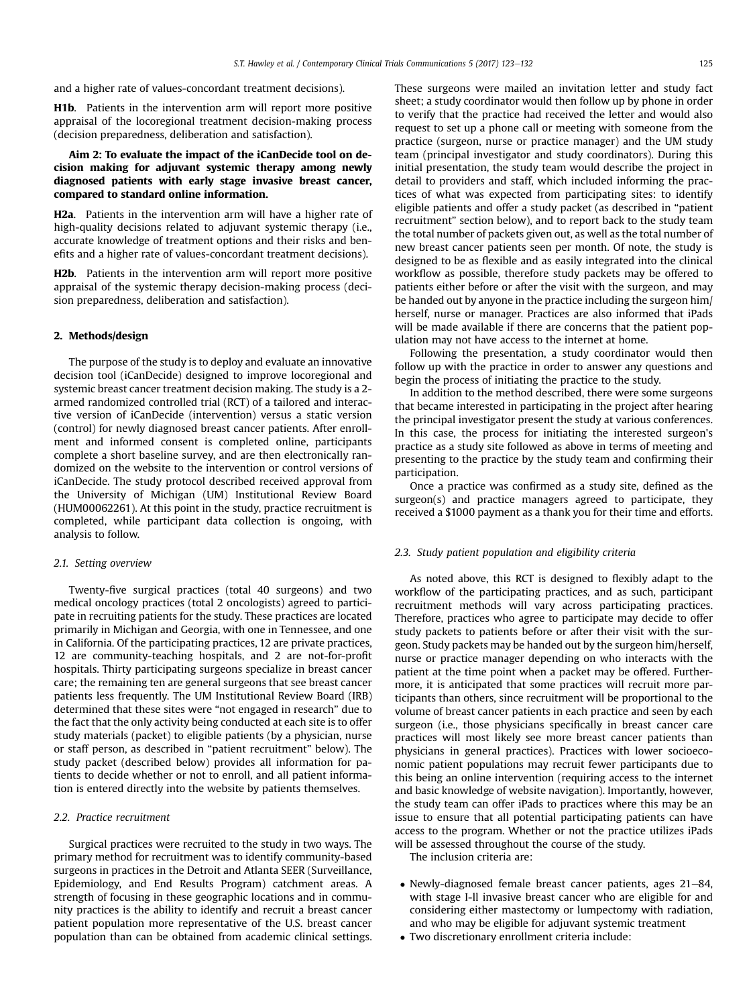and a higher rate of values-concordant treatment decisions).

H1b. Patients in the intervention arm will report more positive appraisal of the locoregional treatment decision-making process (decision preparedness, deliberation and satisfaction).

# Aim 2: To evaluate the impact of the iCanDecide tool on decision making for adjuvant systemic therapy among newly diagnosed patients with early stage invasive breast cancer, compared to standard online information.

H2a. Patients in the intervention arm will have a higher rate of high-quality decisions related to adjuvant systemic therapy (i.e., accurate knowledge of treatment options and their risks and benefits and a higher rate of values-concordant treatment decisions).

**H2b.** Patients in the intervention arm will report more positive appraisal of the systemic therapy decision-making process (decision preparedness, deliberation and satisfaction).

# 2. Methods/design

The purpose of the study is to deploy and evaluate an innovative decision tool (iCanDecide) designed to improve locoregional and systemic breast cancer treatment decision making. The study is a 2 armed randomized controlled trial (RCT) of a tailored and interactive version of iCanDecide (intervention) versus a static version (control) for newly diagnosed breast cancer patients. After enrollment and informed consent is completed online, participants complete a short baseline survey, and are then electronically randomized on the website to the intervention or control versions of iCanDecide. The study protocol described received approval from the University of Michigan (UM) Institutional Review Board (HUM00062261). At this point in the study, practice recruitment is completed, while participant data collection is ongoing, with analysis to follow.

# 2.1. Setting overview

Twenty-five surgical practices (total 40 surgeons) and two medical oncology practices (total 2 oncologists) agreed to participate in recruiting patients for the study. These practices are located primarily in Michigan and Georgia, with one in Tennessee, and one in California. Of the participating practices, 12 are private practices, 12 are community-teaching hospitals, and 2 are not-for-profit hospitals. Thirty participating surgeons specialize in breast cancer care; the remaining ten are general surgeons that see breast cancer patients less frequently. The UM Institutional Review Board (IRB) determined that these sites were "not engaged in research" due to the fact that the only activity being conducted at each site is to offer study materials (packet) to eligible patients (by a physician, nurse or staff person, as described in "patient recruitment" below). The study packet (described below) provides all information for patients to decide whether or not to enroll, and all patient information is entered directly into the website by patients themselves.

## 2.2. Practice recruitment

Surgical practices were recruited to the study in two ways. The primary method for recruitment was to identify community-based surgeons in practices in the Detroit and Atlanta SEER (Surveillance, Epidemiology, and End Results Program) catchment areas. A strength of focusing in these geographic locations and in community practices is the ability to identify and recruit a breast cancer patient population more representative of the U.S. breast cancer population than can be obtained from academic clinical settings.

These surgeons were mailed an invitation letter and study fact sheet; a study coordinator would then follow up by phone in order to verify that the practice had received the letter and would also request to set up a phone call or meeting with someone from the practice (surgeon, nurse or practice manager) and the UM study team (principal investigator and study coordinators). During this initial presentation, the study team would describe the project in detail to providers and staff, which included informing the practices of what was expected from participating sites: to identify eligible patients and offer a study packet (as described in "patient recruitment" section below), and to report back to the study team the total number of packets given out, as well as the total number of new breast cancer patients seen per month. Of note, the study is designed to be as flexible and as easily integrated into the clinical workflow as possible, therefore study packets may be offered to patients either before or after the visit with the surgeon, and may be handed out by anyone in the practice including the surgeon him/ herself, nurse or manager. Practices are also informed that iPads will be made available if there are concerns that the patient population may not have access to the internet at home.

Following the presentation, a study coordinator would then follow up with the practice in order to answer any questions and begin the process of initiating the practice to the study.

In addition to the method described, there were some surgeons that became interested in participating in the project after hearing the principal investigator present the study at various conferences. In this case, the process for initiating the interested surgeon's practice as a study site followed as above in terms of meeting and presenting to the practice by the study team and confirming their participation.

Once a practice was confirmed as a study site, defined as the surgeon(s) and practice managers agreed to participate, they received a \$1000 payment as a thank you for their time and efforts.

#### 2.3. Study patient population and eligibility criteria

As noted above, this RCT is designed to flexibly adapt to the workflow of the participating practices, and as such, participant recruitment methods will vary across participating practices. Therefore, practices who agree to participate may decide to offer study packets to patients before or after their visit with the surgeon. Study packets may be handed out by the surgeon him/herself, nurse or practice manager depending on who interacts with the patient at the time point when a packet may be offered. Furthermore, it is anticipated that some practices will recruit more participants than others, since recruitment will be proportional to the volume of breast cancer patients in each practice and seen by each surgeon (i.e., those physicians specifically in breast cancer care practices will most likely see more breast cancer patients than physicians in general practices). Practices with lower socioeconomic patient populations may recruit fewer participants due to this being an online intervention (requiring access to the internet and basic knowledge of website navigation). Importantly, however, the study team can offer iPads to practices where this may be an issue to ensure that all potential participating patients can have access to the program. Whether or not the practice utilizes iPads will be assessed throughout the course of the study.

The inclusion criteria are:

- Newly-diagnosed female breast cancer patients, ages 21-84, with stage I-ll invasive breast cancer who are eligible for and considering either mastectomy or lumpectomy with radiation, and who may be eligible for adjuvant systemic treatment
- Two discretionary enrollment criteria include: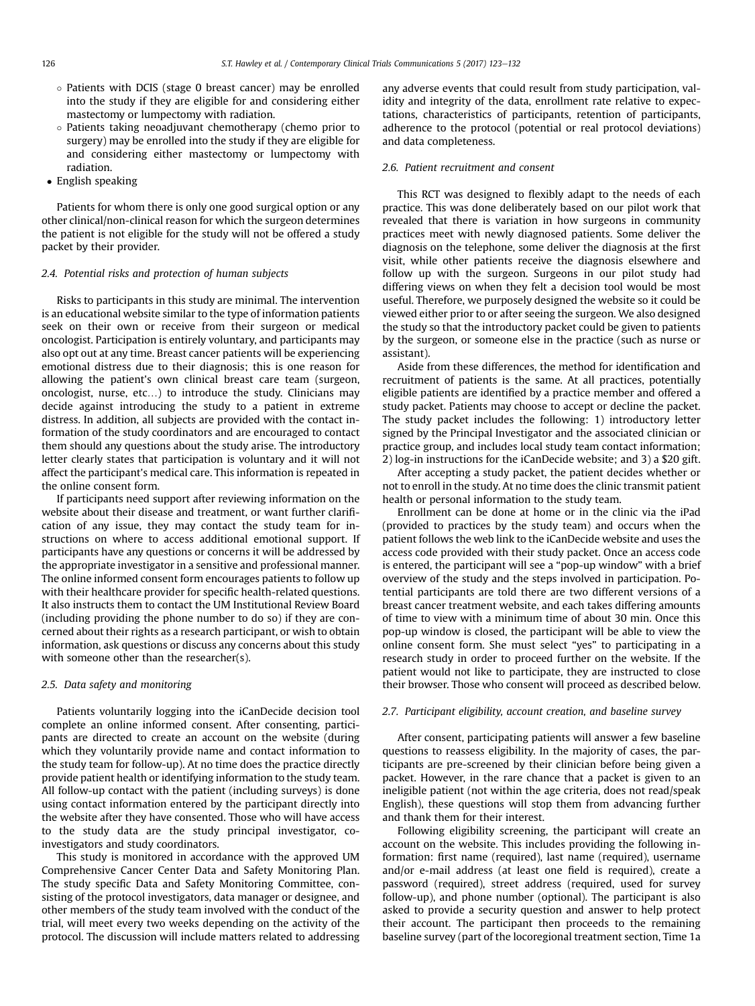- Patients with DCIS (stage 0 breast cancer) may be enrolled into the study if they are eligible for and considering either mastectomy or lumpectomy with radiation.
- Patients taking neoadjuvant chemotherapy (chemo prior to surgery) may be enrolled into the study if they are eligible for and considering either mastectomy or lumpectomy with radiation.
- English speaking

Patients for whom there is only one good surgical option or any other clinical/non-clinical reason for which the surgeon determines the patient is not eligible for the study will not be offered a study packet by their provider.

#### 2.4. Potential risks and protection of human subjects

Risks to participants in this study are minimal. The intervention is an educational website similar to the type of information patients seek on their own or receive from their surgeon or medical oncologist. Participation is entirely voluntary, and participants may also opt out at any time. Breast cancer patients will be experiencing emotional distress due to their diagnosis; this is one reason for allowing the patient's own clinical breast care team (surgeon, oncologist, nurse, etc…) to introduce the study. Clinicians may decide against introducing the study to a patient in extreme distress. In addition, all subjects are provided with the contact information of the study coordinators and are encouraged to contact them should any questions about the study arise. The introductory letter clearly states that participation is voluntary and it will not affect the participant's medical care. This information is repeated in the online consent form.

If participants need support after reviewing information on the website about their disease and treatment, or want further clarification of any issue, they may contact the study team for instructions on where to access additional emotional support. If participants have any questions or concerns it will be addressed by the appropriate investigator in a sensitive and professional manner. The online informed consent form encourages patients to follow up with their healthcare provider for specific health-related questions. It also instructs them to contact the UM Institutional Review Board (including providing the phone number to do so) if they are concerned about their rights as a research participant, or wish to obtain information, ask questions or discuss any concerns about this study with someone other than the researcher(s).

## 2.5. Data safety and monitoring

Patients voluntarily logging into the iCanDecide decision tool complete an online informed consent. After consenting, participants are directed to create an account on the website (during which they voluntarily provide name and contact information to the study team for follow-up). At no time does the practice directly provide patient health or identifying information to the study team. All follow-up contact with the patient (including surveys) is done using contact information entered by the participant directly into the website after they have consented. Those who will have access to the study data are the study principal investigator, coinvestigators and study coordinators.

This study is monitored in accordance with the approved UM Comprehensive Cancer Center Data and Safety Monitoring Plan. The study specific Data and Safety Monitoring Committee, consisting of the protocol investigators, data manager or designee, and other members of the study team involved with the conduct of the trial, will meet every two weeks depending on the activity of the protocol. The discussion will include matters related to addressing any adverse events that could result from study participation, validity and integrity of the data, enrollment rate relative to expectations, characteristics of participants, retention of participants, adherence to the protocol (potential or real protocol deviations) and data completeness.

#### 2.6. Patient recruitment and consent

This RCT was designed to flexibly adapt to the needs of each practice. This was done deliberately based on our pilot work that revealed that there is variation in how surgeons in community practices meet with newly diagnosed patients. Some deliver the diagnosis on the telephone, some deliver the diagnosis at the first visit, while other patients receive the diagnosis elsewhere and follow up with the surgeon. Surgeons in our pilot study had differing views on when they felt a decision tool would be most useful. Therefore, we purposely designed the website so it could be viewed either prior to or after seeing the surgeon. We also designed the study so that the introductory packet could be given to patients by the surgeon, or someone else in the practice (such as nurse or assistant).

Aside from these differences, the method for identification and recruitment of patients is the same. At all practices, potentially eligible patients are identified by a practice member and offered a study packet. Patients may choose to accept or decline the packet. The study packet includes the following: 1) introductory letter signed by the Principal Investigator and the associated clinician or practice group, and includes local study team contact information; 2) log-in instructions for the iCanDecide website; and 3) a \$20 gift.

After accepting a study packet, the patient decides whether or not to enroll in the study. At no time does the clinic transmit patient health or personal information to the study team.

Enrollment can be done at home or in the clinic via the iPad (provided to practices by the study team) and occurs when the patient follows the web link to the iCanDecide website and uses the access code provided with their study packet. Once an access code is entered, the participant will see a "pop-up window" with a brief overview of the study and the steps involved in participation. Potential participants are told there are two different versions of a breast cancer treatment website, and each takes differing amounts of time to view with a minimum time of about 30 min. Once this pop-up window is closed, the participant will be able to view the online consent form. She must select "yes" to participating in a research study in order to proceed further on the website. If the patient would not like to participate, they are instructed to close their browser. Those who consent will proceed as described below.

# 2.7. Participant eligibility, account creation, and baseline survey

After consent, participating patients will answer a few baseline questions to reassess eligibility. In the majority of cases, the participants are pre-screened by their clinician before being given a packet. However, in the rare chance that a packet is given to an ineligible patient (not within the age criteria, does not read/speak English), these questions will stop them from advancing further and thank them for their interest.

Following eligibility screening, the participant will create an account on the website. This includes providing the following information: first name (required), last name (required), username and/or e-mail address (at least one field is required), create a password (required), street address (required, used for survey follow-up), and phone number (optional). The participant is also asked to provide a security question and answer to help protect their account. The participant then proceeds to the remaining baseline survey (part of the locoregional treatment section, Time 1a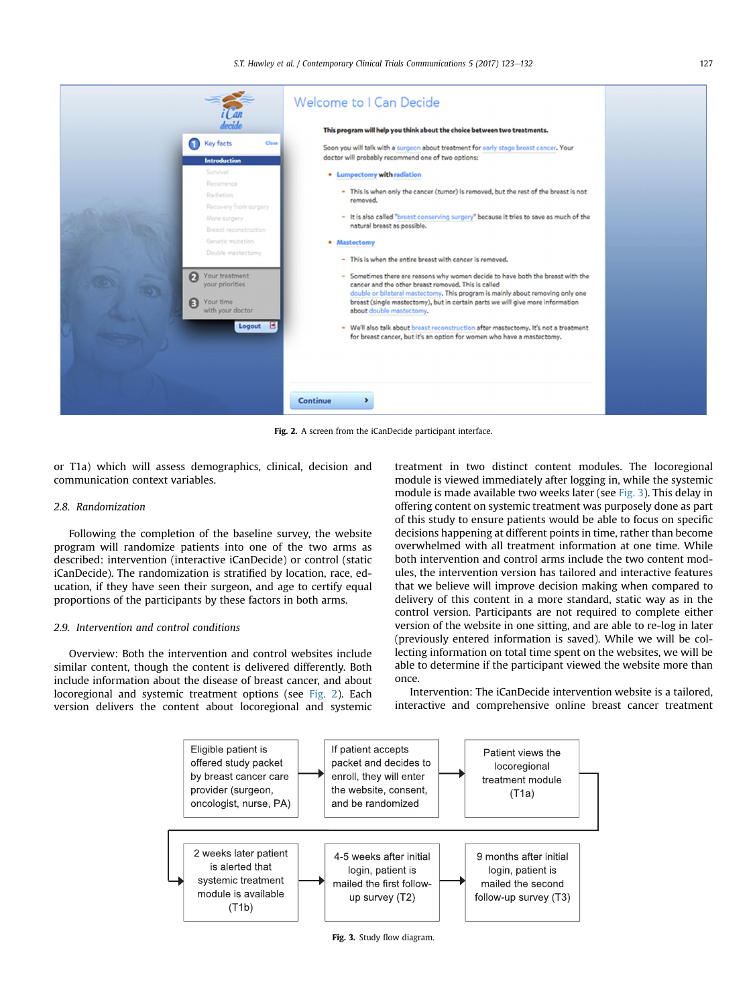

Fig. 2. A screen from the iCanDecide participant interface.

or T1a) which will assess demographics, clinical, decision and communication context variables.

# 2.8. Randomization

Following the completion of the baseline survey, the website program will randomize patients into one of the two arms as described: intervention (interactive iCanDecide) or control (static iCanDecide). The randomization is stratified by location, race, education, if they have seen their surgeon, and age to certify equal proportions of the participants by these factors in both arms.

# 2.9. Intervention and control conditions

Overview: Both the intervention and control websites include similar content, though the content is delivered differently. Both include information about the disease of breast cancer, and about locoregional and systemic treatment options (see Fig. 2). Each version delivers the content about locoregional and systemic treatment in two distinct content modules. The locoregional module is viewed immediately after logging in, while the systemic module is made available two weeks later (see Fig. 3). This delay in offering content on systemic treatment was purposely done as part of this study to ensure patients would be able to focus on specific decisions happening at different points in time, rather than become overwhelmed with all treatment information at one time. While both intervention and control arms include the two content modules, the intervention version has tailored and interactive features that we believe will improve decision making when compared to delivery of this content in a more standard, static way as in the control version. Participants are not required to complete either version of the website in one sitting, and are able to re-log in later (previously entered information is saved). While we will be collecting information on total time spent on the websites, we will be able to determine if the participant viewed the website more than once.

Intervention: The iCanDecide intervention website is a tailored, interactive and comprehensive online breast cancer treatment



Fig. 3. Study flow diagram.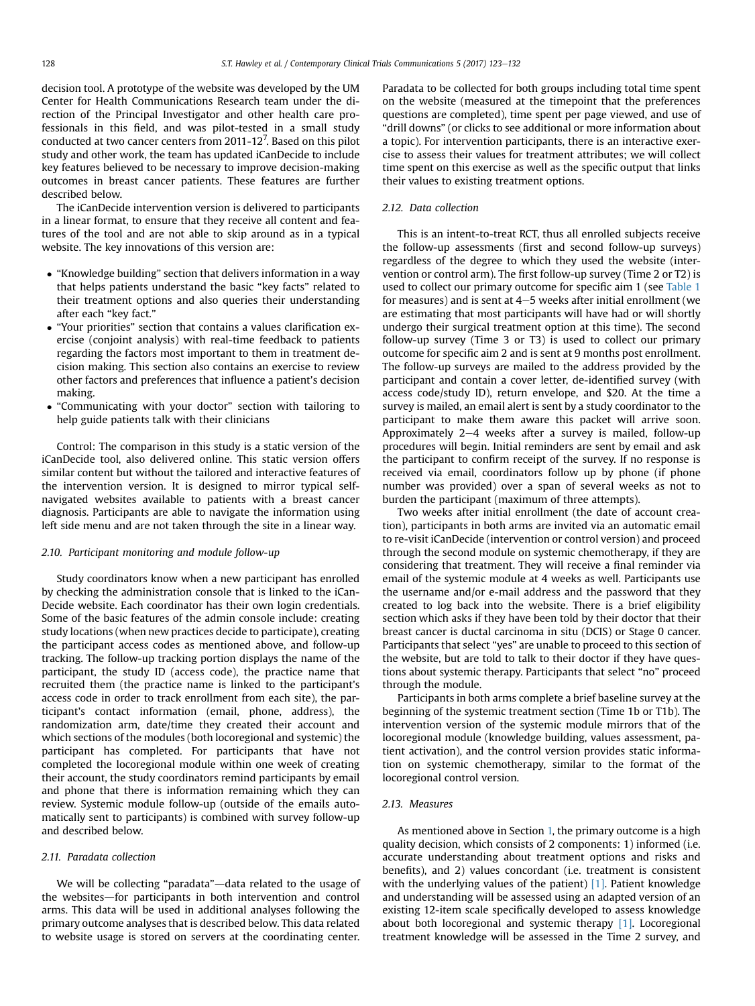decision tool. A prototype of the website was developed by the UM Center for Health Communications Research team under the direction of the Principal Investigator and other health care professionals in this field, and was pilot-tested in a small study conducted at two cancer centers from 2011-12<sup>7</sup>. Based on this pilot study and other work, the team has updated iCanDecide to include key features believed to be necessary to improve decision-making outcomes in breast cancer patients. These features are further described below.

The iCanDecide intervention version is delivered to participants in a linear format, to ensure that they receive all content and features of the tool and are not able to skip around as in a typical website. The key innovations of this version are:

- "Knowledge building" section that delivers information in a way that helps patients understand the basic "key facts" related to their treatment options and also queries their understanding after each "key fact."
- "Your priorities" section that contains a values clarification exercise (conjoint analysis) with real-time feedback to patients regarding the factors most important to them in treatment decision making. This section also contains an exercise to review other factors and preferences that influence a patient's decision making.
- "Communicating with your doctor" section with tailoring to help guide patients talk with their clinicians

Control: The comparison in this study is a static version of the iCanDecide tool, also delivered online. This static version offers similar content but without the tailored and interactive features of the intervention version. It is designed to mirror typical selfnavigated websites available to patients with a breast cancer diagnosis. Participants are able to navigate the information using left side menu and are not taken through the site in a linear way.

#### 2.10. Participant monitoring and module follow-up

Study coordinators know when a new participant has enrolled by checking the administration console that is linked to the iCan-Decide website. Each coordinator has their own login credentials. Some of the basic features of the admin console include: creating study locations (when new practices decide to participate), creating the participant access codes as mentioned above, and follow-up tracking. The follow-up tracking portion displays the name of the participant, the study ID (access code), the practice name that recruited them (the practice name is linked to the participant's access code in order to track enrollment from each site), the participant's contact information (email, phone, address), the randomization arm, date/time they created their account and which sections of the modules (both locoregional and systemic) the participant has completed. For participants that have not completed the locoregional module within one week of creating their account, the study coordinators remind participants by email and phone that there is information remaining which they can review. Systemic module follow-up (outside of the emails automatically sent to participants) is combined with survey follow-up and described below.

#### 2.11. Paradata collection

We will be collecting "paradata"—data related to the usage of the websites-for participants in both intervention and control arms. This data will be used in additional analyses following the primary outcome analyses that is described below. This data related to website usage is stored on servers at the coordinating center. Paradata to be collected for both groups including total time spent on the website (measured at the timepoint that the preferences questions are completed), time spent per page viewed, and use of "drill downs" (or clicks to see additional or more information about a topic). For intervention participants, there is an interactive exercise to assess their values for treatment attributes; we will collect time spent on this exercise as well as the specific output that links their values to existing treatment options.

## 2.12. Data collection

This is an intent-to-treat RCT, thus all enrolled subjects receive the follow-up assessments (first and second follow-up surveys) regardless of the degree to which they used the website (intervention or control arm). The first follow-up survey (Time 2 or T2) is used to collect our primary outcome for specific aim 1 (see [Table 1](#page-6-0) for measures) and is sent at  $4-5$  weeks after initial enrollment (we are estimating that most participants will have had or will shortly undergo their surgical treatment option at this time). The second follow-up survey (Time 3 or T3) is used to collect our primary outcome for specific aim 2 and is sent at 9 months post enrollment. The follow-up surveys are mailed to the address provided by the participant and contain a cover letter, de-identified survey (with access code/study ID), return envelope, and \$20. At the time a survey is mailed, an email alert is sent by a study coordinator to the participant to make them aware this packet will arrive soon. Approximately  $2-4$  weeks after a survey is mailed, follow-up procedures will begin. Initial reminders are sent by email and ask the participant to confirm receipt of the survey. If no response is received via email, coordinators follow up by phone (if phone number was provided) over a span of several weeks as not to burden the participant (maximum of three attempts).

Two weeks after initial enrollment (the date of account creation), participants in both arms are invited via an automatic email to re-visit iCanDecide (intervention or control version) and proceed through the second module on systemic chemotherapy, if they are considering that treatment. They will receive a final reminder via email of the systemic module at 4 weeks as well. Participants use the username and/or e-mail address and the password that they created to log back into the website. There is a brief eligibility section which asks if they have been told by their doctor that their breast cancer is ductal carcinoma in situ (DCIS) or Stage 0 cancer. Participants that select "yes" are unable to proceed to this section of the website, but are told to talk to their doctor if they have questions about systemic therapy. Participants that select "no" proceed through the module.

Participants in both arms complete a brief baseline survey at the beginning of the systemic treatment section (Time 1b or T1b). The intervention version of the systemic module mirrors that of the locoregional module (knowledge building, values assessment, patient activation), and the control version provides static information on systemic chemotherapy, similar to the format of the locoregional control version.

## 2.13. Measures

As mentioned above in Section [1,](#page-1-0) the primary outcome is a high quality decision, which consists of 2 components: 1) informed (i.e. accurate understanding about treatment options and risks and benefits), and 2) values concordant (i.e. treatment is consistent with the underlying values of the patient) [\[1\]](#page-8-0). Patient knowledge and understanding will be assessed using an adapted version of an existing 12-item scale specifically developed to assess knowledge about both locoregional and systemic therapy [\[1\].](#page-8-0) Locoregional treatment knowledge will be assessed in the Time 2 survey, and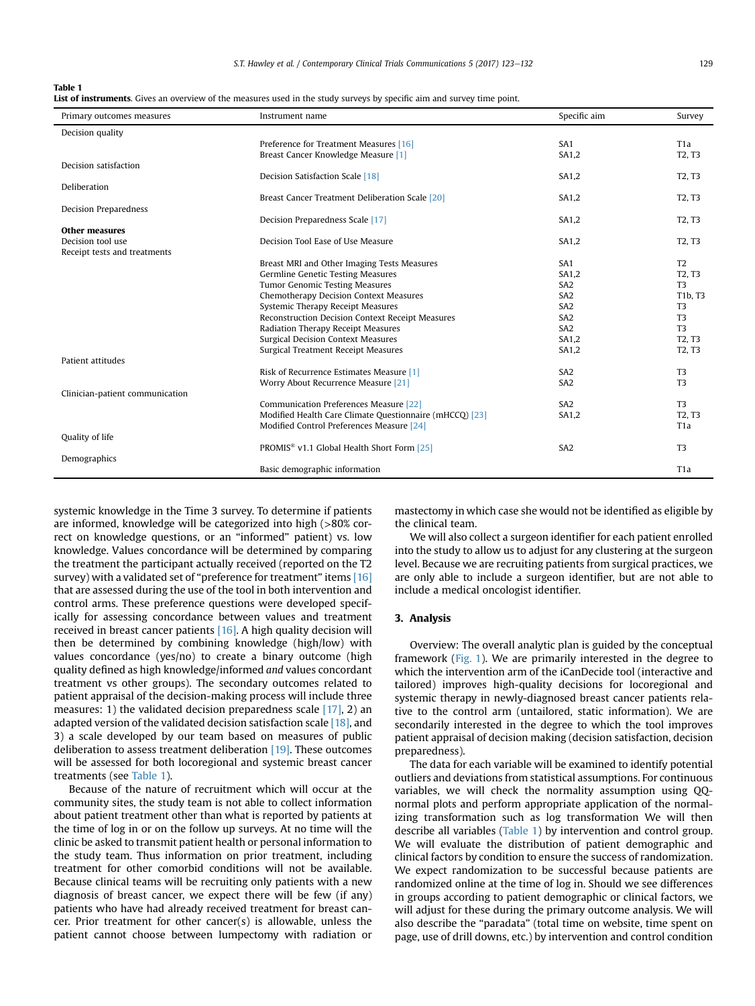<span id="page-6-0"></span>Table 1

| List of instruments. Gives an overview of the measures used in the study surveys by specific aim and survey time point. |
|-------------------------------------------------------------------------------------------------------------------------|
|-------------------------------------------------------------------------------------------------------------------------|

| Primary outcomes measures       | Instrument name                                         | Specific aim    | Survey                          |
|---------------------------------|---------------------------------------------------------|-----------------|---------------------------------|
| Decision quality                |                                                         |                 |                                 |
|                                 | Preference for Treatment Measures [16]                  | SA <sub>1</sub> | T <sub>1</sub> a                |
|                                 | Breast Cancer Knowledge Measure [1]                     | SA1,2           | T <sub>2</sub> , T <sub>3</sub> |
| Decision satisfaction           |                                                         |                 |                                 |
|                                 | Decision Satisfaction Scale [18]                        | SA1,2           | T <sub>2</sub> , T <sub>3</sub> |
| Deliberation                    |                                                         |                 |                                 |
|                                 | Breast Cancer Treatment Deliberation Scale [20]         | SA1,2           | T <sub>2</sub> , T <sub>3</sub> |
| <b>Decision Preparedness</b>    |                                                         |                 |                                 |
|                                 | Decision Preparedness Scale [17]                        | SA1,2           | T <sub>2</sub> , T <sub>3</sub> |
| <b>Other measures</b>           |                                                         |                 |                                 |
| Decision tool use               | Decision Tool Ease of Use Measure                       | SA1,2           | T <sub>2</sub> , T <sub>3</sub> |
| Receipt tests and treatments    |                                                         |                 |                                 |
|                                 | Breast MRI and Other Imaging Tests Measures             | SA <sub>1</sub> | T <sub>2</sub>                  |
|                                 | Germline Genetic Testing Measures                       | SA1,2           | T <sub>2</sub> , T <sub>3</sub> |
|                                 | <b>Tumor Genomic Testing Measures</b>                   | SA <sub>2</sub> | T <sub>3</sub>                  |
|                                 | Chemotherapy Decision Context Measures                  | SA <sub>2</sub> | T1b, T3                         |
|                                 | Systemic Therapy Receipt Measures                       | SA <sub>2</sub> | T <sub>3</sub>                  |
|                                 | Reconstruction Decision Context Receipt Measures        | SA <sub>2</sub> | T <sub>3</sub>                  |
|                                 | Radiation Therapy Receipt Measures                      | SA <sub>2</sub> | T <sub>3</sub>                  |
|                                 | <b>Surgical Decision Context Measures</b>               | SA1,2           | T <sub>2</sub> , T <sub>3</sub> |
|                                 | Surgical Treatment Receipt Measures                     | SA1,2           | T <sub>2</sub> , T <sub>3</sub> |
| Patient attitudes               |                                                         |                 |                                 |
|                                 | Risk of Recurrence Estimates Measure [1]                | SA <sub>2</sub> | T <sub>3</sub>                  |
|                                 | Worry About Recurrence Measure [21]                     | SA <sub>2</sub> | T <sub>3</sub>                  |
| Clinician-patient communication |                                                         |                 |                                 |
|                                 | Communication Preferences Measure [22]                  | SA <sub>2</sub> | T <sub>3</sub>                  |
|                                 | Modified Health Care Climate Questionnaire (mHCCQ) [23] | SA1,2           | T <sub>2</sub> , T <sub>3</sub> |
|                                 | Modified Control Preferences Measure [24]               |                 | T <sub>1</sub> a                |
| Quality of life                 |                                                         |                 |                                 |
|                                 | PROMIS <sup>®</sup> v1.1 Global Health Short Form [25]  | SA <sub>2</sub> | T <sub>3</sub>                  |
| Demographics                    |                                                         |                 |                                 |
|                                 | Basic demographic information                           |                 | T <sub>1</sub> a                |

systemic knowledge in the Time 3 survey. To determine if patients are informed, knowledge will be categorized into high (>80% correct on knowledge questions, or an "informed" patient) vs. low knowledge. Values concordance will be determined by comparing the treatment the participant actually received (reported on the T2 survey) with a validated set of "preference for treatment" items [\[16\]](#page-8-0) that are assessed during the use of the tool in both intervention and control arms. These preference questions were developed specifically for assessing concordance between values and treatment received in breast cancer patients [\[16\]](#page-8-0). A high quality decision will then be determined by combining knowledge (high/low) with values concordance (yes/no) to create a binary outcome (high quality defined as high knowledge/informed and values concordant treatment vs other groups). The secondary outcomes related to patient appraisal of the decision-making process will include three measures: 1) the validated decision preparedness scale [\[17\]](#page-8-0), 2) an adapted version of the validated decision satisfaction scale [\[18\],](#page-8-0) and 3) a scale developed by our team based on measures of public deliberation to assess treatment deliberation [\[19\].](#page-8-0) These outcomes will be assessed for both locoregional and systemic breast cancer treatments (see Table 1).

Because of the nature of recruitment which will occur at the community sites, the study team is not able to collect information about patient treatment other than what is reported by patients at the time of log in or on the follow up surveys. At no time will the clinic be asked to transmit patient health or personal information to the study team. Thus information on prior treatment, including treatment for other comorbid conditions will not be available. Because clinical teams will be recruiting only patients with a new diagnosis of breast cancer, we expect there will be few (if any) patients who have had already received treatment for breast cancer. Prior treatment for other cancer(s) is allowable, unless the patient cannot choose between lumpectomy with radiation or

mastectomy in which case she would not be identified as eligible by the clinical team.

We will also collect a surgeon identifier for each patient enrolled into the study to allow us to adjust for any clustering at the surgeon level. Because we are recruiting patients from surgical practices, we are only able to include a surgeon identifier, but are not able to include a medical oncologist identifier.

## 3. Analysis

Overview: The overall analytic plan is guided by the conceptual framework [\(Fig. 1\)](#page-1-0). We are primarily interested in the degree to which the intervention arm of the iCanDecide tool (interactive and tailored) improves high-quality decisions for locoregional and systemic therapy in newly-diagnosed breast cancer patients relative to the control arm (untailored, static information). We are secondarily interested in the degree to which the tool improves patient appraisal of decision making (decision satisfaction, decision preparedness).

The data for each variable will be examined to identify potential outliers and deviations from statistical assumptions. For continuous variables, we will check the normality assumption using QQnormal plots and perform appropriate application of the normalizing transformation such as log transformation We will then describe all variables (Table 1) by intervention and control group. We will evaluate the distribution of patient demographic and clinical factors by condition to ensure the success of randomization. We expect randomization to be successful because patients are randomized online at the time of log in. Should we see differences in groups according to patient demographic or clinical factors, we will adjust for these during the primary outcome analysis. We will also describe the "paradata" (total time on website, time spent on page, use of drill downs, etc.) by intervention and control condition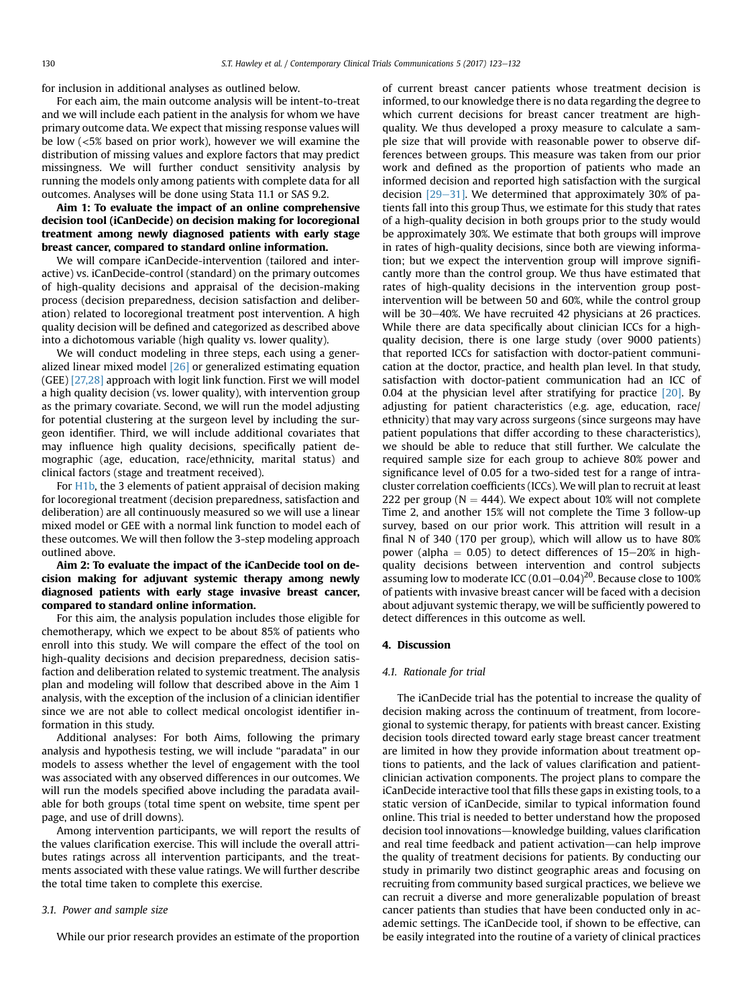for inclusion in additional analyses as outlined below.

For each aim, the main outcome analysis will be intent-to-treat and we will include each patient in the analysis for whom we have primary outcome data. We expect that missing response values will be low (<5% based on prior work), however we will examine the distribution of missing values and explore factors that may predict missingness. We will further conduct sensitivity analysis by running the models only among patients with complete data for all outcomes. Analyses will be done using Stata 11.1 or SAS 9.2.

Aim 1: To evaluate the impact of an online comprehensive decision tool (iCanDecide) on decision making for locoregional treatment among newly diagnosed patients with early stage breast cancer, compared to standard online information.

We will compare iCanDecide-intervention (tailored and interactive) vs. iCanDecide-control (standard) on the primary outcomes of high-quality decisions and appraisal of the decision-making process (decision preparedness, decision satisfaction and deliberation) related to locoregional treatment post intervention. A high quality decision will be defined and categorized as described above into a dichotomous variable (high quality vs. lower quality).

We will conduct modeling in three steps, each using a generalized linear mixed model  $[26]$  or generalized estimating equation (GEE) [\[27,28\]](#page-9-0) approach with logit link function. First we will model a high quality decision (vs. lower quality), with intervention group as the primary covariate. Second, we will run the model adjusting for potential clustering at the surgeon level by including the surgeon identifier. Third, we will include additional covariates that may influence high quality decisions, specifically patient demographic (age, education, race/ethnicity, marital status) and clinical factors (stage and treatment received).

For H1b, the 3 elements of patient appraisal of decision making for locoregional treatment (decision preparedness, satisfaction and deliberation) are all continuously measured so we will use a linear mixed model or GEE with a normal link function to model each of these outcomes. We will then follow the 3-step modeling approach outlined above.

# Aim 2: To evaluate the impact of the iCanDecide tool on decision making for adjuvant systemic therapy among newly diagnosed patients with early stage invasive breast cancer, compared to standard online information.

For this aim, the analysis population includes those eligible for chemotherapy, which we expect to be about 85% of patients who enroll into this study. We will compare the effect of the tool on high-quality decisions and decision preparedness, decision satisfaction and deliberation related to systemic treatment. The analysis plan and modeling will follow that described above in the Aim 1 analysis, with the exception of the inclusion of a clinician identifier since we are not able to collect medical oncologist identifier information in this study.

Additional analyses: For both Aims, following the primary analysis and hypothesis testing, we will include "paradata" in our models to assess whether the level of engagement with the tool was associated with any observed differences in our outcomes. We will run the models specified above including the paradata available for both groups (total time spent on website, time spent per page, and use of drill downs).

Among intervention participants, we will report the results of the values clarification exercise. This will include the overall attributes ratings across all intervention participants, and the treatments associated with these value ratings. We will further describe the total time taken to complete this exercise.

## 3.1. Power and sample size

While our prior research provides an estimate of the proportion

of current breast cancer patients whose treatment decision is informed, to our knowledge there is no data regarding the degree to which current decisions for breast cancer treatment are highquality. We thus developed a proxy measure to calculate a sample size that will provide with reasonable power to observe differences between groups. This measure was taken from our prior work and defined as the proportion of patients who made an informed decision and reported high satisfaction with the surgical decision  $[29-31]$  $[29-31]$ . We determined that approximately 30% of patients fall into this group Thus, we estimate for this study that rates of a high-quality decision in both groups prior to the study would be approximately 30%. We estimate that both groups will improve in rates of high-quality decisions, since both are viewing information; but we expect the intervention group will improve significantly more than the control group. We thus have estimated that rates of high-quality decisions in the intervention group postintervention will be between 50 and 60%, while the control group will be  $30-40$ %. We have recruited 42 physicians at 26 practices. While there are data specifically about clinician ICCs for a highquality decision, there is one large study (over 9000 patients) that reported ICCs for satisfaction with doctor-patient communication at the doctor, practice, and health plan level. In that study, satisfaction with doctor-patient communication had an ICC of 0.04 at the physician level after stratifying for practice [\[20\].](#page-8-0) By adjusting for patient characteristics (e.g. age, education, race/ ethnicity) that may vary across surgeons (since surgeons may have patient populations that differ according to these characteristics), we should be able to reduce that still further. We calculate the required sample size for each group to achieve 80% power and significance level of 0.05 for a two-sided test for a range of intracluster correlation coefficients (ICCs). We will plan to recruit at least 222 per group ( $N = 444$ ). We expect about 10% will not complete Time 2, and another 15% will not complete the Time 3 follow-up survey, based on our prior work. This attrition will result in a final N of 340 (170 per group), which will allow us to have 80% power (alpha  $= 0.05$ ) to detect differences of 15–20% in highquality decisions between intervention and control subjects assuming low to moderate ICC  $(0.01-0.04)^{20}$ . Because close to 100% of patients with invasive breast cancer will be faced with a decision about adjuvant systemic therapy, we will be sufficiently powered to detect differences in this outcome as well.

#### 4. Discussion

#### 4.1. Rationale for trial

The iCanDecide trial has the potential to increase the quality of decision making across the continuum of treatment, from locoregional to systemic therapy, for patients with breast cancer. Existing decision tools directed toward early stage breast cancer treatment are limited in how they provide information about treatment options to patients, and the lack of values clarification and patientclinician activation components. The project plans to compare the iCanDecide interactive tool that fills these gaps in existing tools, to a static version of iCanDecide, similar to typical information found online. This trial is needed to better understand how the proposed decision tool innovations—knowledge building, values clarification and real time feedback and patient activation—can help improve the quality of treatment decisions for patients. By conducting our study in primarily two distinct geographic areas and focusing on recruiting from community based surgical practices, we believe we can recruit a diverse and more generalizable population of breast cancer patients than studies that have been conducted only in academic settings. The iCanDecide tool, if shown to be effective, can be easily integrated into the routine of a variety of clinical practices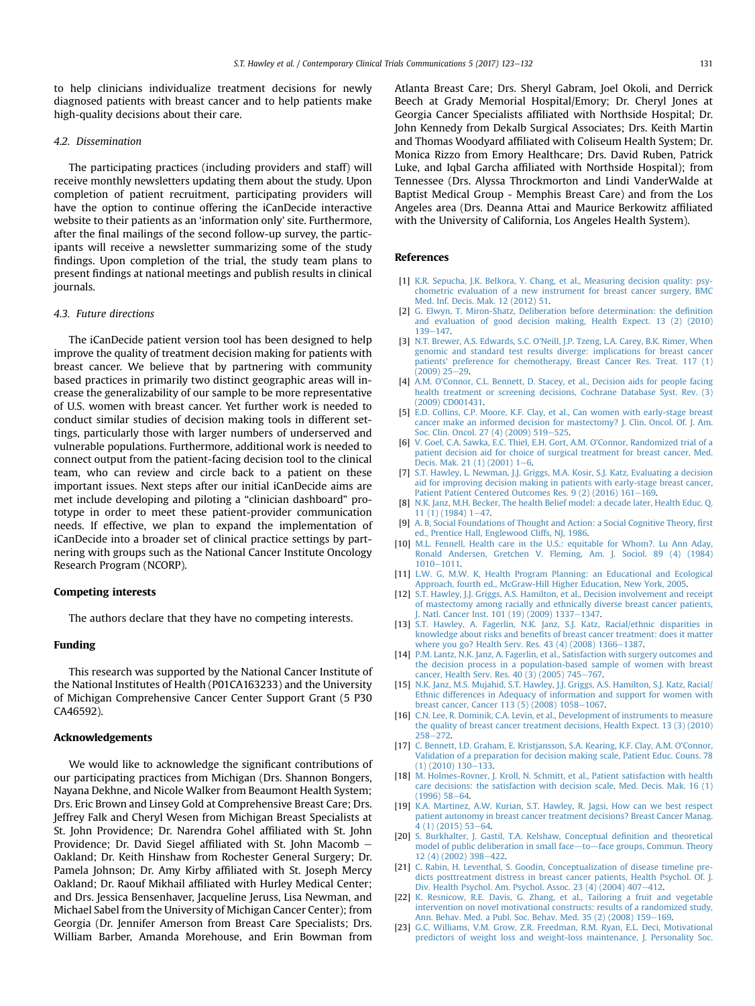<span id="page-8-0"></span>to help clinicians individualize treatment decisions for newly diagnosed patients with breast cancer and to help patients make high-quality decisions about their care.

#### 4.2. Dissemination

The participating practices (including providers and staff) will receive monthly newsletters updating them about the study. Upon completion of patient recruitment, participating providers will have the option to continue offering the iCanDecide interactive website to their patients as an 'information only' site. Furthermore, after the final mailings of the second follow-up survey, the participants will receive a newsletter summarizing some of the study findings. Upon completion of the trial, the study team plans to present findings at national meetings and publish results in clinical journals.

## 4.3. Future directions

The iCanDecide patient version tool has been designed to help improve the quality of treatment decision making for patients with breast cancer. We believe that by partnering with community based practices in primarily two distinct geographic areas will increase the generalizability of our sample to be more representative of U.S. women with breast cancer. Yet further work is needed to conduct similar studies of decision making tools in different settings, particularly those with larger numbers of underserved and vulnerable populations. Furthermore, additional work is needed to connect output from the patient-facing decision tool to the clinical team, who can review and circle back to a patient on these important issues. Next steps after our initial iCanDecide aims are met include developing and piloting a "clinician dashboard" prototype in order to meet these patient-provider communication needs. If effective, we plan to expand the implementation of iCanDecide into a broader set of clinical practice settings by partnering with groups such as the National Cancer Institute Oncology Research Program (NCORP).

## Competing interests

The authors declare that they have no competing interests.

#### Funding

This research was supported by the National Cancer Institute of the National Institutes of Health (P01CA163233) and the University of Michigan Comprehensive Cancer Center Support Grant (5 P30 CA46592).

## Acknowledgements

We would like to acknowledge the significant contributions of our participating practices from Michigan (Drs. Shannon Bongers, Nayana Dekhne, and Nicole Walker from Beaumont Health System; Drs. Eric Brown and Linsey Gold at Comprehensive Breast Care; Drs. Jeffrey Falk and Cheryl Wesen from Michigan Breast Specialists at St. John Providence; Dr. Narendra Gohel affiliated with St. John Providence; Dr. David Siegel affiliated with St. John Macomb Oakland; Dr. Keith Hinshaw from Rochester General Surgery; Dr. Pamela Johnson; Dr. Amy Kirby affiliated with St. Joseph Mercy Oakland; Dr. Raouf Mikhail affiliated with Hurley Medical Center; and Drs. Jessica Bensenhaver, Jacqueline Jeruss, Lisa Newman, and Michael Sabel from the University of Michigan Cancer Center); from Georgia (Dr. Jennifer Amerson from Breast Care Specialists; Drs. William Barber, Amanda Morehouse, and Erin Bowman from

Atlanta Breast Care; Drs. Sheryl Gabram, Joel Okoli, and Derrick Beech at Grady Memorial Hospital/Emory; Dr. Cheryl Jones at Georgia Cancer Specialists affiliated with Northside Hospital; Dr. John Kennedy from Dekalb Surgical Associates; Drs. Keith Martin and Thomas Woodyard affiliated with Coliseum Health System; Dr. Monica Rizzo from Emory Healthcare; Drs. David Ruben, Patrick Luke, and Iqbal Garcha affiliated with Northside Hospital); from Tennessee (Drs. Alyssa Throckmorton and Lindi VanderWalde at Baptist Medical Group - Memphis Breast Care) and from the Los Angeles area (Drs. Deanna Attai and Maurice Berkowitz affiliated with the University of California, Los Angeles Health System).

## References

- [1] [K.R. Sepucha, J.K. Belkora, Y. Chang, et al., Measuring decision quality: psy](http://refhub.elsevier.com/S2451-8654(16)30112-0/sref1)[chometric evaluation of a new instrument for breast cancer surgery, BMC](http://refhub.elsevier.com/S2451-8654(16)30112-0/sref1) [Med. Inf. Decis. Mak. 12 \(2012\) 51.](http://refhub.elsevier.com/S2451-8654(16)30112-0/sref1)
- [2] [G. Elwyn, T. Miron-Shatz, Deliberation before determination: the de](http://refhub.elsevier.com/S2451-8654(16)30112-0/sref2)finition [and evaluation of good decision making, Health Expect. 13 \(2\) \(2010\)](http://refhub.elsevier.com/S2451-8654(16)30112-0/sref2)  $139 - 147.$  $139 - 147.$  $139 - 147.$  $139 - 147.$
- [3] [N.T. Brewer, A.S. Edwards, S.C. O'Neill, J.P. Tzeng, L.A. Carey, B.K. Rimer, When](http://refhub.elsevier.com/S2451-8654(16)30112-0/sref3) [genomic and standard test results diverge: implications for breast cancer](http://refhub.elsevier.com/S2451-8654(16)30112-0/sref3) [patients' preference for chemotherapy, Breast Cancer Res. Treat. 117 \(1\)](http://refhub.elsevier.com/S2451-8654(16)30112-0/sref3)  $(2009)$   $25-29$ .
- [4] [A.M. O'Connor, C.L. Bennett, D. Stacey, et al., Decision aids for people facing](http://refhub.elsevier.com/S2451-8654(16)30112-0/sref4) [health treatment or screening decisions, Cochrane Database Syst. Rev. \(3\)](http://refhub.elsevier.com/S2451-8654(16)30112-0/sref4) [\(2009\) CD001431](http://refhub.elsevier.com/S2451-8654(16)30112-0/sref4).
- [5] [E.D. Collins, C.P. Moore, K.F. Clay, et al., Can women with early-stage breast](http://refhub.elsevier.com/S2451-8654(16)30112-0/sref5) [cancer make an informed decision for mastectomy? J. Clin. Oncol. Of. J. Am.](http://refhub.elsevier.com/S2451-8654(16)30112-0/sref5) [Soc. Clin. Oncol. 27 \(4\) \(2009\) 519](http://refhub.elsevier.com/S2451-8654(16)30112-0/sref5)-[525.](http://refhub.elsevier.com/S2451-8654(16)30112-0/sref5)
- [6] [V. Goel, C.A. Sawka, E.C. Thiel, E.H. Gort, A.M. O'Connor, Randomized trial of a](http://refhub.elsevier.com/S2451-8654(16)30112-0/sref6) [patient decision aid for choice of surgical treatment for breast cancer, Med.](http://refhub.elsevier.com/S2451-8654(16)30112-0/sref6) Decis. Mak. 21 (1) (2001)  $1-6$ .
- [7] [S.T. Hawley, L. Newman, J.J. Griggs, M.A. Kosir, S.J. Katz, Evaluating a decision](http://refhub.elsevier.com/S2451-8654(16)30112-0/sref7) [aid for improving decision making in patients with early-stage breast cancer,](http://refhub.elsevier.com/S2451-8654(16)30112-0/sref7) [Patient Patient Centered Outcomes Res. 9 \(2\) \(2016\) 161](http://refhub.elsevier.com/S2451-8654(16)30112-0/sref7)-[169](http://refhub.elsevier.com/S2451-8654(16)30112-0/sref7).
- [8] [N.K. Janz, M.H. Becker, The health Belief model: a decade later, Health Educ. Q.](http://refhub.elsevier.com/S2451-8654(16)30112-0/sref8)  $11 (1) (1984) 1 - 47.$  $11 (1) (1984) 1 - 47.$  $11 (1) (1984) 1 - 47.$
- [9] A. B. Social Foundations of Thought and Action: a Social Cognitive Theory, first [ed., Prentice Hall, Englewood Cliffs, NJ, 1986](http://refhub.elsevier.com/S2451-8654(16)30112-0/sref9).
- [10] [M.L. Fennell, Health care in the U.S.: equitable for Whom?. Lu Ann Aday,](http://refhub.elsevier.com/S2451-8654(16)30112-0/sref10) [Ronald Andersen, Gretchen V. Fleming, Am. J. Sociol. 89 \(4\) \(1984\)](http://refhub.elsevier.com/S2451-8654(16)30112-0/sref10)  $1010 - 1011.$  $1010 - 1011.$  $1010 - 1011.$  $1010 - 1011.$
- [11] [L.W. G, M.W. K, Health Program Planning: an Educational and Ecological](http://refhub.elsevier.com/S2451-8654(16)30112-0/sref11) [Approach, fourth ed., McGraw-Hill Higher Education, New York, 2005.](http://refhub.elsevier.com/S2451-8654(16)30112-0/sref11)
- [12] [S.T. Hawley, J.J. Griggs, A.S. Hamilton, et al., Decision involvement and receipt](http://refhub.elsevier.com/S2451-8654(16)30112-0/sref12) [of mastectomy among racially and ethnically diverse breast cancer patients,](http://refhub.elsevier.com/S2451-8654(16)30112-0/sref12) I. Natl. Cancer Inst.  $101(19)(2009)$  1337-[1347](http://refhub.elsevier.com/S2451-8654(16)30112-0/sref12).
- [13] [S.T. Hawley, A. Fagerlin, N.K. Janz, S.J. Katz, Racial/ethnic disparities in](http://refhub.elsevier.com/S2451-8654(16)30112-0/sref13) knowledge about risks and benefi[ts of breast cancer treatment: does it matter](http://refhub.elsevier.com/S2451-8654(16)30112-0/sref13) where you go? Health Sery. Res. 43 (4) (2008) 1366-[1387](http://refhub.elsevier.com/S2451-8654(16)30112-0/sref13).
- [14] [P.M. Lantz, N.K. Janz, A. Fagerlin, et al., Satisfaction with surgery outcomes and](http://refhub.elsevier.com/S2451-8654(16)30112-0/sref14) [the decision process in a population-based sample of women with breast](http://refhub.elsevier.com/S2451-8654(16)30112-0/sref14) [cancer, Health Serv. Res. 40 \(3\) \(2005\) 745](http://refhub.elsevier.com/S2451-8654(16)30112-0/sref14)-[767](http://refhub.elsevier.com/S2451-8654(16)30112-0/sref14).
- [15] [N.K. Janz, M.S. Mujahid, S.T. Hawley, J.J. Griggs, A.S. Hamilton, S.J. Katz, Racial/](http://refhub.elsevier.com/S2451-8654(16)30112-0/sref15) [Ethnic differences in Adequacy of information and support for women with](http://refhub.elsevier.com/S2451-8654(16)30112-0/sref15) [breast cancer, Cancer 113 \(5\) \(2008\) 1058](http://refhub.elsevier.com/S2451-8654(16)30112-0/sref15)-[1067.](http://refhub.elsevier.com/S2451-8654(16)30112-0/sref15)
- [16] [C.N. Lee, R. Dominik, C.A. Levin, et al., Development of instruments to measure](http://refhub.elsevier.com/S2451-8654(16)30112-0/sref16) [the quality of breast cancer treatment decisions, Health Expect. 13 \(3\) \(2010\)](http://refhub.elsevier.com/S2451-8654(16)30112-0/sref16) [258](http://refhub.elsevier.com/S2451-8654(16)30112-0/sref16)-272
- [17] C. Bennett, I.D. Graham, E. Kristjansson, S.A. Kearing, K.F. Clav. A.M. O'Connor. [Validation of a preparation for decision making scale, Patient Educ. Couns. 78](http://refhub.elsevier.com/S2451-8654(16)30112-0/sref17)  $(1)$   $(2010)$   $130 - 133$ .
- [18] [M. Holmes-Rovner, J. Kroll, N. Schmitt, et al., Patient satisfaction with health](http://refhub.elsevier.com/S2451-8654(16)30112-0/sref18) [care decisions: the satisfaction with decision scale, Med. Decis. Mak. 16 \(1\)](http://refhub.elsevier.com/S2451-8654(16)30112-0/sref18)  $(1996)$  58-[64](http://refhub.elsevier.com/S2451-8654(16)30112-0/sref18).
- [19] [K.A. Martinez, A.W. Kurian, S.T. Hawley, R. Jagsi, How can we best respect](http://refhub.elsevier.com/S2451-8654(16)30112-0/sref19) [patient autonomy in breast cancer treatment decisions? Breast Cancer Manag.](http://refhub.elsevier.com/S2451-8654(16)30112-0/sref19)  $4(1)(2015)$  53-[64](http://refhub.elsevier.com/S2451-8654(16)30112-0/sref19).
- [20] [S. Burkhalter, J. Gastil, T.A. Kelshaw, Conceptual de](http://refhub.elsevier.com/S2451-8654(16)30112-0/sref20)finition and theoretical [model of public deliberation in small face](http://refhub.elsevier.com/S2451-8654(16)30112-0/sref20)—[to](http://refhub.elsevier.com/S2451-8654(16)30112-0/sref20)—[face groups, Commun. Theory](http://refhub.elsevier.com/S2451-8654(16)30112-0/sref20) [12 \(4\) \(2002\) 398](http://refhub.elsevier.com/S2451-8654(16)30112-0/sref20)-[422](http://refhub.elsevier.com/S2451-8654(16)30112-0/sref20).
- [21] [C. Rabin, H. Leventhal, S. Goodin, Conceptualization of disease timeline pre](http://refhub.elsevier.com/S2451-8654(16)30112-0/sref21)[dicts posttreatment distress in breast cancer patients, Health Psychol. Of. J.](http://refhub.elsevier.com/S2451-8654(16)30112-0/sref21) [Div. Health Psychol. Am. Psychol. Assoc. 23 \(4\) \(2004\) 407](http://refhub.elsevier.com/S2451-8654(16)30112-0/sref21)-[412.](http://refhub.elsevier.com/S2451-8654(16)30112-0/sref21)
- [22] [K. Resnicow, R.E. Davis, G. Zhang, et al., Tailoring a fruit and vegetable](http://refhub.elsevier.com/S2451-8654(16)30112-0/sref22) [intervention on novel motivational constructs: results of a randomized study,](http://refhub.elsevier.com/S2451-8654(16)30112-0/sref22) [Ann. Behav. Med. a Publ. Soc. Behav. Med. 35 \(2\) \(2008\) 159](http://refhub.elsevier.com/S2451-8654(16)30112-0/sref22)-[169.](http://refhub.elsevier.com/S2451-8654(16)30112-0/sref22)
- [23] [G.C. Williams, V.M. Grow, Z.R. Freedman, R.M. Ryan, E.L. Deci, Motivational](http://refhub.elsevier.com/S2451-8654(16)30112-0/sref23) [predictors of weight loss and weight-loss maintenance, J. Personality Soc.](http://refhub.elsevier.com/S2451-8654(16)30112-0/sref23)